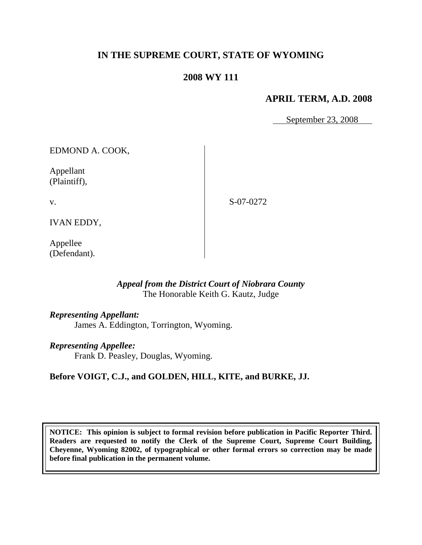# **IN THE SUPREME COURT, STATE OF WYOMING**

## **2008 WY 111**

## **APRIL TERM, A.D. 2008**

September 23, 2008

EDMOND A. COOK,

Appellant (Plaintiff),

v.

S-07-0272

IVAN EDDY,

Appellee (Defendant).

## *Appeal from the District Court of Niobrara County* The Honorable Keith G. Kautz, Judge

### *Representing Appellant:*

James A. Eddington, Torrington, Wyoming.

### *Representing Appellee:*

Frank D. Peasley, Douglas, Wyoming.

## **Before VOIGT, C.J., and GOLDEN, HILL, KITE, and BURKE, JJ.**

**NOTICE: This opinion is subject to formal revision before publication in Pacific Reporter Third. Readers are requested to notify the Clerk of the Supreme Court, Supreme Court Building, Cheyenne, Wyoming 82002, of typographical or other formal errors so correction may be made before final publication in the permanent volume.**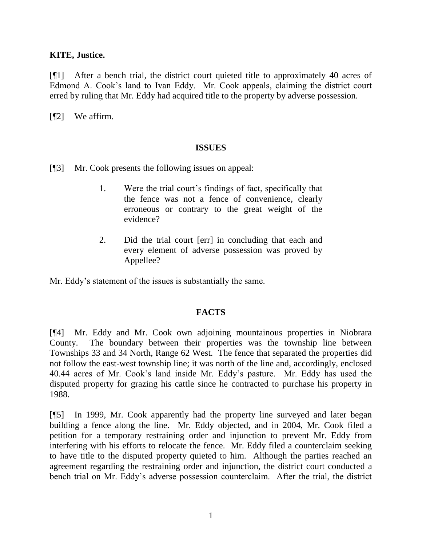### **KITE, Justice.**

[¶1] After a bench trial, the district court quieted title to approximately 40 acres of Edmond A. Cook"s land to Ivan Eddy. Mr. Cook appeals, claiming the district court erred by ruling that Mr. Eddy had acquired title to the property by adverse possession.

[¶2] We affirm.

#### **ISSUES**

- [¶3] Mr. Cook presents the following issues on appeal:
	- 1. Were the trial court"s findings of fact, specifically that the fence was not a fence of convenience, clearly erroneous or contrary to the great weight of the evidence?
	- 2. Did the trial court [err] in concluding that each and every element of adverse possession was proved by Appellee?

Mr. Eddy"s statement of the issues is substantially the same.

### **FACTS**

[¶4] Mr. Eddy and Mr. Cook own adjoining mountainous properties in Niobrara County. The boundary between their properties was the township line between Townships 33 and 34 North, Range 62 West. The fence that separated the properties did not follow the east-west township line; it was north of the line and, accordingly, enclosed 40.44 acres of Mr. Cook"s land inside Mr. Eddy"s pasture. Mr. Eddy has used the disputed property for grazing his cattle since he contracted to purchase his property in 1988.

[¶5] In 1999, Mr. Cook apparently had the property line surveyed and later began building a fence along the line. Mr. Eddy objected, and in 2004, Mr. Cook filed a petition for a temporary restraining order and injunction to prevent Mr. Eddy from interfering with his efforts to relocate the fence. Mr. Eddy filed a counterclaim seeking to have title to the disputed property quieted to him. Although the parties reached an agreement regarding the restraining order and injunction, the district court conducted a bench trial on Mr. Eddy"s adverse possession counterclaim. After the trial, the district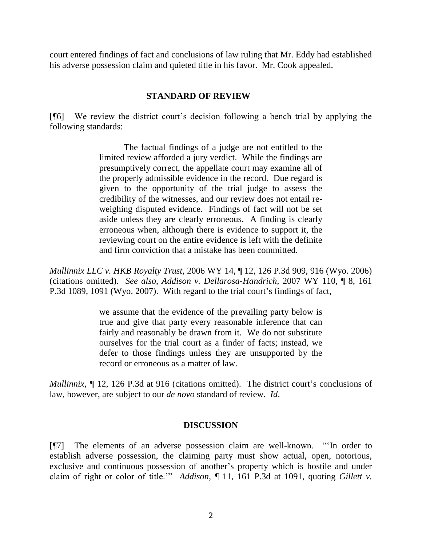court entered findings of fact and conclusions of law ruling that Mr. Eddy had established his adverse possession claim and quieted title in his favor. Mr. Cook appealed.

### **STANDARD OF REVIEW**

[¶6] We review the district court"s decision following a bench trial by applying the following standards:

> The factual findings of a judge are not entitled to the limited review afforded a jury verdict. While the findings are presumptively correct, the appellate court may examine all of the properly admissible evidence in the record. Due regard is given to the opportunity of the trial judge to assess the credibility of the witnesses, and our review does not entail reweighing disputed evidence. Findings of fact will not be set aside unless they are clearly erroneous. A finding is clearly erroneous when, although there is evidence to support it, the reviewing court on the entire evidence is left with the definite and firm conviction that a mistake has been committed.

*Mullinnix LLC v. HKB Royalty Trust*, 2006 WY 14, ¶ 12, 126 P.3d 909, 916 (Wyo. 2006) (citations omitted). *See also*, *Addison v. Dellarosa-Handrich,* 2007 WY 110, ¶ 8, 161 P.3d 1089, 1091 (Wyo. 2007). With regard to the trial court's findings of fact,

> we assume that the evidence of the prevailing party below is true and give that party every reasonable inference that can fairly and reasonably be drawn from it. We do not substitute ourselves for the trial court as a finder of facts; instead, we defer to those findings unless they are unsupported by the record or erroneous as a matter of law.

*Mullinnix,*  $\int$  12, 126 P.3d at 916 (citations omitted). The district court's conclusions of law, however, are subject to our *de novo* standard of review. *Id*.

### **DISCUSSION**

[¶7] The elements of an adverse possession claim are well-known. ""In order to establish adverse possession, the claiming party must show actual, open, notorious, exclusive and continuous possession of another"s property which is hostile and under claim of right or color of title."" *Addison*, ¶ 11, 161 P.3d at 1091, quoting *Gillett v.*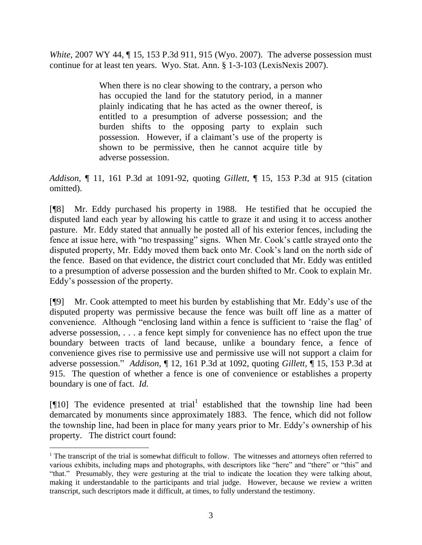*White, 2007 WY 44,* 15, 153 P.3d 911, 915 (Wyo. 2007). The adverse possession must continue for at least ten years. Wyo. Stat. Ann. § 1-3-103 (LexisNexis 2007).

> When there is no clear showing to the contrary, a person who has occupied the land for the statutory period, in a manner plainly indicating that he has acted as the owner thereof, is entitled to a presumption of adverse possession; and the burden shifts to the opposing party to explain such possession. However, if a claimant"s use of the property is shown to be permissive, then he cannot acquire title by adverse possession.

*Addison,* ¶ 11, 161 P.3d at 1091-92, quoting *Gillett*, ¶ 15, 153 P.3d at 915 (citation omitted).

[¶8] Mr. Eddy purchased his property in 1988. He testified that he occupied the disputed land each year by allowing his cattle to graze it and using it to access another pasture. Mr. Eddy stated that annually he posted all of his exterior fences, including the fence at issue here, with "no trespassing" signs. When Mr. Cook's cattle strayed onto the disputed property, Mr. Eddy moved them back onto Mr. Cook"s land on the north side of the fence. Based on that evidence, the district court concluded that Mr. Eddy was entitled to a presumption of adverse possession and the burden shifted to Mr. Cook to explain Mr. Eddy"s possession of the property.

[¶9] Mr. Cook attempted to meet his burden by establishing that Mr. Eddy"s use of the disputed property was permissive because the fence was built off line as a matter of convenience. Although "enclosing land within a fence is sufficient to "raise the flag" of adverse possession, . . . a fence kept simply for convenience has no effect upon the true boundary between tracts of land because, unlike a boundary fence, a fence of convenience gives rise to permissive use and permissive use will not support a claim for adverse possession." *Addison,* ¶ 12, 161 P.3d at 1092, quoting *Gillett,* ¶ 15, 153 P.3d at 915.The question of whether a fence is one of convenience or establishes a property boundary is one of fact. *Id.* 

[ $[10]$ ] The evidence presented at trial established that the township line had been demarcated by monuments since approximately 1883. The fence, which did not follow the township line, had been in place for many years prior to Mr. Eddy"s ownership of his property. The district court found:

<sup>&</sup>lt;sup>1</sup> The transcript of the trial is somewhat difficult to follow. The witnesses and attorneys often referred to various exhibits, including maps and photographs, with descriptors like "here" and "there" or "this" and "that." Presumably, they were gesturing at the trial to indicate the location they were talking about, making it understandable to the participants and trial judge. However, because we review a written transcript, such descriptors made it difficult, at times, to fully understand the testimony.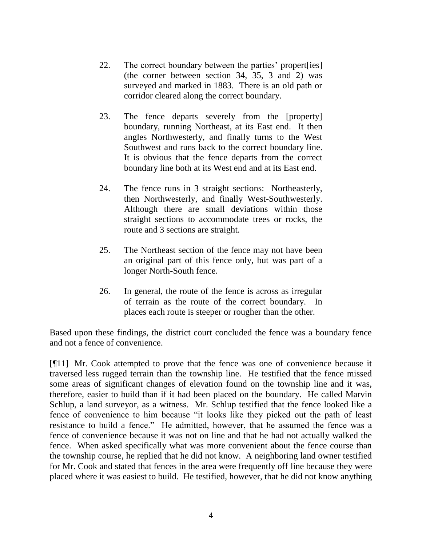- 22. The correct boundary between the parties' propert [ies] (the corner between section 34, 35, 3 and 2) was surveyed and marked in 1883. There is an old path or corridor cleared along the correct boundary.
- 23. The fence departs severely from the [property] boundary, running Northeast, at its East end. It then angles Northwesterly, and finally turns to the West Southwest and runs back to the correct boundary line. It is obvious that the fence departs from the correct boundary line both at its West end and at its East end.
- 24. The fence runs in 3 straight sections: Northeasterly, then Northwesterly, and finally West-Southwesterly. Although there are small deviations within those straight sections to accommodate trees or rocks, the route and 3 sections are straight.
- 25. The Northeast section of the fence may not have been an original part of this fence only, but was part of a longer North-South fence.
- 26. In general, the route of the fence is across as irregular of terrain as the route of the correct boundary. In places each route is steeper or rougher than the other.

Based upon these findings, the district court concluded the fence was a boundary fence and not a fence of convenience.

[¶11] Mr. Cook attempted to prove that the fence was one of convenience because it traversed less rugged terrain than the township line. He testified that the fence missed some areas of significant changes of elevation found on the township line and it was, therefore, easier to build than if it had been placed on the boundary. He called Marvin Schlup, a land surveyor, as a witness. Mr. Schlup testified that the fence looked like a fence of convenience to him because "it looks like they picked out the path of least resistance to build a fence." He admitted, however, that he assumed the fence was a fence of convenience because it was not on line and that he had not actually walked the fence. When asked specifically what was more convenient about the fence course than the township course, he replied that he did not know. A neighboring land owner testified for Mr. Cook and stated that fences in the area were frequently off line because they were placed where it was easiest to build. He testified, however, that he did not know anything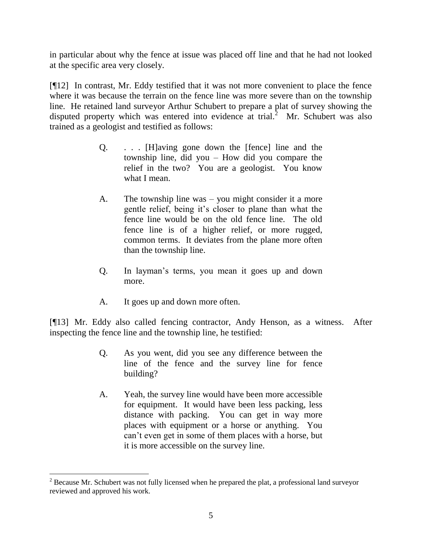in particular about why the fence at issue was placed off line and that he had not looked at the specific area very closely.

[¶12] In contrast, Mr. Eddy testified that it was not more convenient to place the fence where it was because the terrain on the fence line was more severe than on the township line. He retained land surveyor Arthur Schubert to prepare a plat of survey showing the disputed property which was entered into evidence at trial.<sup>2</sup> Mr. Schubert was also trained as a geologist and testified as follows:

- Q. . . . [H]aving gone down the [fence] line and the township line, did you – How did you compare the relief in the two? You are a geologist. You know what I mean.
- A. The township line was you might consider it a more gentle relief, being it"s closer to plane than what the fence line would be on the old fence line. The old fence line is of a higher relief, or more rugged, common terms. It deviates from the plane more often than the township line.
- Q. In layman"s terms, you mean it goes up and down more.
- A. It goes up and down more often.

l

[¶13] Mr. Eddy also called fencing contractor, Andy Henson, as a witness. After inspecting the fence line and the township line, he testified:

- Q. As you went, did you see any difference between the line of the fence and the survey line for fence building?
- A. Yeah, the survey line would have been more accessible for equipment. It would have been less packing, less distance with packing. You can get in way more places with equipment or a horse or anything. You can"t even get in some of them places with a horse, but it is more accessible on the survey line.

 $2^2$  Because Mr. Schubert was not fully licensed when he prepared the plat, a professional land surveyor reviewed and approved his work.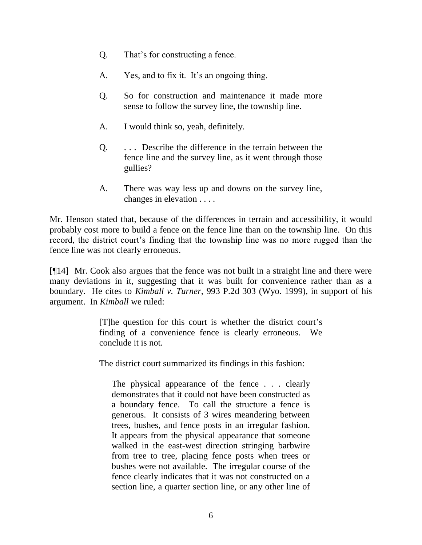- Q. That"s for constructing a fence.
- A. Yes, and to fix it. It's an ongoing thing.
- Q. So for construction and maintenance it made more sense to follow the survey line, the township line.
- A. I would think so, yeah, definitely.
- Q. . . . Describe the difference in the terrain between the fence line and the survey line, as it went through those gullies?
- A. There was way less up and downs on the survey line, changes in elevation . . . .

Mr. Henson stated that, because of the differences in terrain and accessibility, it would probably cost more to build a fence on the fence line than on the township line. On this record, the district court's finding that the township line was no more rugged than the fence line was not clearly erroneous.

[¶14] Mr. Cook also argues that the fence was not built in a straight line and there were many deviations in it, suggesting that it was built for convenience rather than as a boundary. He cites to *Kimball v. Turner,* 993 P.2d 303 (Wyo. 1999), in support of his argument. In *Kimball* we ruled:

> [T]he question for this court is whether the district court"s finding of a convenience fence is clearly erroneous. We conclude it is not.

The district court summarized its findings in this fashion:

The physical appearance of the fence . . . clearly demonstrates that it could not have been constructed as a boundary fence. To call the structure a fence is generous. It consists of 3 wires meandering between trees, bushes, and fence posts in an irregular fashion. It appears from the physical appearance that someone walked in the east-west direction stringing barbwire from tree to tree, placing fence posts when trees or bushes were not available. The irregular course of the fence clearly indicates that it was not constructed on a section line, a quarter section line, or any other line of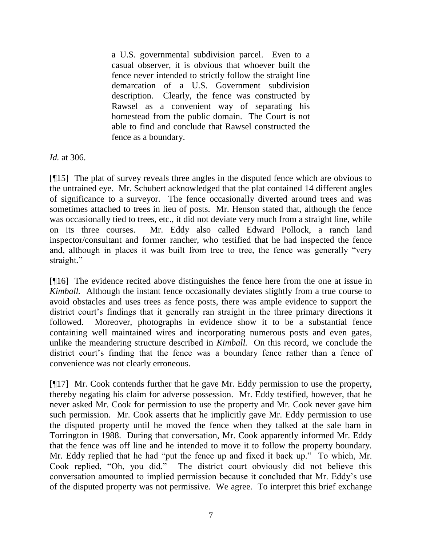a U.S. governmental subdivision parcel. Even to a casual observer, it is obvious that whoever built the fence never intended to strictly follow the straight line demarcation of a U.S. Government subdivision description. Clearly, the fence was constructed by Rawsel as a convenient way of separating his homestead from the public domain. The Court is not able to find and conclude that Rawsel constructed the fence as a boundary.

*Id.* at 306.

[¶15] The plat of survey reveals three angles in the disputed fence which are obvious to the untrained eye. Mr. Schubert acknowledged that the plat contained 14 different angles of significance to a surveyor. The fence occasionally diverted around trees and was sometimes attached to trees in lieu of posts. Mr. Henson stated that, although the fence was occasionally tied to trees, etc., it did not deviate very much from a straight line, while on its three courses. Mr. Eddy also called Edward Pollock, a ranch land inspector/consultant and former rancher, who testified that he had inspected the fence and, although in places it was built from tree to tree, the fence was generally "very straight."

[¶16] The evidence recited above distinguishes the fence here from the one at issue in *Kimball.* Although the instant fence occasionally deviates slightly from a true course to avoid obstacles and uses trees as fence posts, there was ample evidence to support the district court's findings that it generally ran straight in the three primary directions it followed. Moreover, photographs in evidence show it to be a substantial fence containing well maintained wires and incorporating numerous posts and even gates, unlike the meandering structure described in *Kimball.* On this record, we conclude the district court's finding that the fence was a boundary fence rather than a fence of convenience was not clearly erroneous.

[¶17] Mr. Cook contends further that he gave Mr. Eddy permission to use the property, thereby negating his claim for adverse possession. Mr. Eddy testified, however, that he never asked Mr. Cook for permission to use the property and Mr. Cook never gave him such permission. Mr. Cook asserts that he implicitly gave Mr. Eddy permission to use the disputed property until he moved the fence when they talked at the sale barn in Torrington in 1988. During that conversation, Mr. Cook apparently informed Mr. Eddy that the fence was off line and he intended to move it to follow the property boundary. Mr. Eddy replied that he had "put the fence up and fixed it back up." To which, Mr. Cook replied, "Oh, you did." The district court obviously did not believe this conversation amounted to implied permission because it concluded that Mr. Eddy"s use of the disputed property was not permissive. We agree. To interpret this brief exchange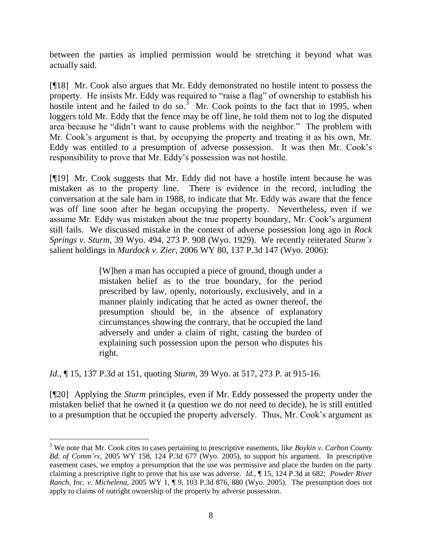between the parties as implied permission would be stretching it beyond what was actually said.

[¶18] Mr. Cook also argues that Mr. Eddy demonstrated no hostile intent to possess the property. He insists Mr. Eddy was required to "raise a flag" of ownership to establish his hostile intent and he failed to do so.<sup>3</sup> Mr. Cook points to the fact that in 1995, when loggers told Mr. Eddy that the fence may be off line, he told them not to log the disputed area because he "didn"t want to cause problems with the neighbor." The problem with Mr. Cook"s argument is that, by occupying the property and treating it as his own, Mr. Eddy was entitled to a presumption of adverse possession. It was then Mr. Cook"s responsibility to prove that Mr. Eddy"s possession was not hostile.

[¶19] Mr. Cook suggests that Mr. Eddy did not have a hostile intent because he was mistaken as to the property line. There is evidence in the record, including the conversation at the sale barn in 1988, to indicate that Mr. Eddy was aware that the fence was off line soon after he began occupying the property. Nevertheless, even if we assume Mr. Eddy was mistaken about the true property boundary, Mr. Cook"s argument still fails. We discussed mistake in the context of adverse possession long ago in *Rock Springs v. Sturm,* 39 Wyo. 494, 273 P. 908 (Wyo. 1929). We recently reiterated *Sturm's*  salient holdings in *Murdock v. Zier,* 2006 WY 80, 137 P.3d 147 (Wyo. 2006):

> [W]hen a man has occupied a piece of ground, though under a mistaken belief as to the true boundary, for the period prescribed by law, openly, notoriously, exclusively, and in a manner plainly indicating that he acted as owner thereof, the presumption should be, in the absence of explanatory circumstances showing the contrary, that he occupied the land adversely and under a claim of right, casting the burden of explaining such possession upon the person who disputes his right.

*Id.,* ¶ 15, 137 P.3d at 151, quoting *Sturm,* 39 Wyo. at 517, 273 P. at 915-16.

 $\overline{a}$ 

[¶20] Applying the *Sturm* principles, even if Mr. Eddy possessed the property under the mistaken belief that he owned it (a question we do not need to decide), he is still entitled to a presumption that he occupied the property adversely. Thus, Mr. Cook"s argument as

<sup>3</sup> We note that Mr. Cook cites to cases pertaining to prescriptive easements, like *Boykin v. Carbon County Bd. of Comm'rs,* 2005 WY 158, 124 P.3d 677 (Wyo. 2005), to support his argument. In prescriptive easement cases, we employ a presumption that the use was permissive and place the burden on the party claiming a prescriptive right to prove that his use was adverse. *Id.*, ¶ 15, 124 P.3d at 682; *Powder River Ranch, Inc. v. Michelena,* 2005 WY 1, ¶ 9, 103 P.3d 876, 880 (Wyo. 2005).The presumption does not apply to claims of outright ownership of the property by adverse possession.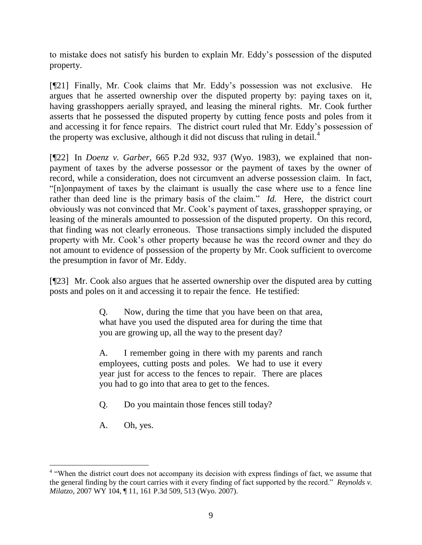to mistake does not satisfy his burden to explain Mr. Eddy"s possession of the disputed property.

[¶21] Finally, Mr. Cook claims that Mr. Eddy"s possession was not exclusive. He argues that he asserted ownership over the disputed property by: paying taxes on it, having grasshoppers aerially sprayed, and leasing the mineral rights. Mr. Cook further asserts that he possessed the disputed property by cutting fence posts and poles from it and accessing it for fence repairs. The district court ruled that Mr. Eddy"s possession of the property was exclusive, although it did not discuss that ruling in detail.<sup>4</sup>

[¶22] In *Doenz v. Garber,* 665 P.2d 932, 937 (Wyo. 1983), we explained that nonpayment of taxes by the adverse possessor or the payment of taxes by the owner of record, while a consideration, does not circumvent an adverse possession claim. In fact, "[n]onpayment of taxes by the claimant is usually the case where use to a fence line rather than deed line is the primary basis of the claim." *Id.* Here, the district court obviously was not convinced that Mr. Cook"s payment of taxes, grasshopper spraying, or leasing of the minerals amounted to possession of the disputed property. On this record, that finding was not clearly erroneous. Those transactions simply included the disputed property with Mr. Cook"s other property because he was the record owner and they do not amount to evidence of possession of the property by Mr. Cook sufficient to overcome the presumption in favor of Mr. Eddy.

[¶23] Mr. Cook also argues that he asserted ownership over the disputed area by cutting posts and poles on it and accessing it to repair the fence. He testified:

> Q. Now, during the time that you have been on that area, what have you used the disputed area for during the time that you are growing up, all the way to the present day?

> A. I remember going in there with my parents and ranch employees, cutting posts and poles. We had to use it every year just for access to the fences to repair. There are places you had to go into that area to get to the fences.

Q. Do you maintain those fences still today?

A. Oh, yes.

<sup>&</sup>lt;sup>4</sup> "When the district court does not accompany its decision with express findings of fact, we assume that the general finding by the court carries with it every finding of fact supported by the record." *Reynolds v. Milatzo,* 2007 WY 104, ¶ 11, 161 P.3d 509, 513 (Wyo. 2007).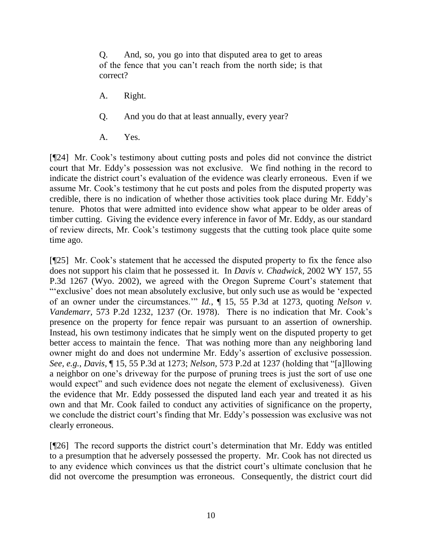Q. And, so, you go into that disputed area to get to areas of the fence that you can"t reach from the north side; is that correct?

- A. Right.
- Q. And you do that at least annually, every year?
- A. Yes.

[¶24] Mr. Cook"s testimony about cutting posts and poles did not convince the district court that Mr. Eddy"s possession was not exclusive. We find nothing in the record to indicate the district court's evaluation of the evidence was clearly erroneous. Even if we assume Mr. Cook"s testimony that he cut posts and poles from the disputed property was credible, there is no indication of whether those activities took place during Mr. Eddy"s tenure. Photos that were admitted into evidence show what appear to be older areas of timber cutting. Giving the evidence every inference in favor of Mr. Eddy, as our standard of review directs, Mr. Cook"s testimony suggests that the cutting took place quite some time ago.

[¶25] Mr. Cook"s statement that he accessed the disputed property to fix the fence also does not support his claim that he possessed it. In *Davis v. Chadwick,* 2002 WY 157, 55 P.3d 1267 (Wyo. 2002), we agreed with the Oregon Supreme Court's statement that ""exclusive' does not mean absolutely exclusive, but only such use as would be 'expected of an owner under the circumstances."" *Id.*, ¶ 15, 55 P.3d at 1273, quoting *Nelson v. Vandemarr,* 573 P.2d 1232, 1237 (Or. 1978). There is no indication that Mr. Cook"s presence on the property for fence repair was pursuant to an assertion of ownership. Instead, his own testimony indicates that he simply went on the disputed property to get better access to maintain the fence. That was nothing more than any neighboring land owner might do and does not undermine Mr. Eddy"s assertion of exclusive possession. *See, e.g.*, *Davis,* ¶ 15, 55 P.3d at 1273; *Nelson,* 573 P.2d at 1237 (holding that "[a]llowing a neighbor on one's driveway for the purpose of pruning trees is just the sort of use one would expect" and such evidence does not negate the element of exclusiveness). Given the evidence that Mr. Eddy possessed the disputed land each year and treated it as his own and that Mr. Cook failed to conduct any activities of significance on the property, we conclude the district court's finding that Mr. Eddy's possession was exclusive was not clearly erroneous.

[¶26] The record supports the district court's determination that Mr. Eddy was entitled to a presumption that he adversely possessed the property. Mr. Cook has not directed us to any evidence which convinces us that the district court's ultimate conclusion that he did not overcome the presumption was erroneous. Consequently, the district court did